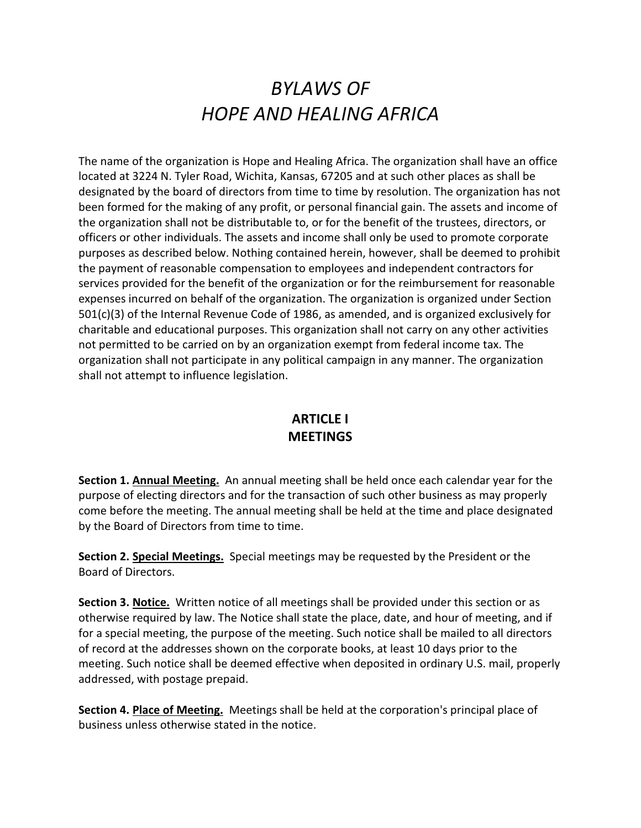# BYLAWS OF HOPE AND HEALING AFRICA

The name of the organization is Hope and Healing Africa. The organization shall have an office located at 3224 N. Tyler Road, Wichita, Kansas, 67205 and at such other places as shall be designated by the board of directors from time to time by resolution. The organization has not been formed for the making of any profit, or personal financial gain. The assets and income of the organization shall not be distributable to, or for the benefit of the trustees, directors, or officers or other individuals. The assets and income shall only be used to promote corporate purposes as described below. Nothing contained herein, however, shall be deemed to prohibit the payment of reasonable compensation to employees and independent contractors for services provided for the benefit of the organization or for the reimbursement for reasonable expenses incurred on behalf of the organization. The organization is organized under Section 501(c)(3) of the Internal Revenue Code of 1986, as amended, and is organized exclusively for charitable and educational purposes. This organization shall not carry on any other activities not permitted to be carried on by an organization exempt from federal income tax. The organization shall not participate in any political campaign in any manner. The organization shall not attempt to influence legislation.

#### ARTICLE I **MEETINGS**

Section 1. Annual Meeting. An annual meeting shall be held once each calendar year for the purpose of electing directors and for the transaction of such other business as may properly come before the meeting. The annual meeting shall be held at the time and place designated by the Board of Directors from time to time.

Section 2. Special Meetings. Special meetings may be requested by the President or the Board of Directors.

Section 3. Notice. Written notice of all meetings shall be provided under this section or as otherwise required by law. The Notice shall state the place, date, and hour of meeting, and if for a special meeting, the purpose of the meeting. Such notice shall be mailed to all directors of record at the addresses shown on the corporate books, at least 10 days prior to the meeting. Such notice shall be deemed effective when deposited in ordinary U.S. mail, properly addressed, with postage prepaid.

Section 4. Place of Meeting. Meetings shall be held at the corporation's principal place of business unless otherwise stated in the notice.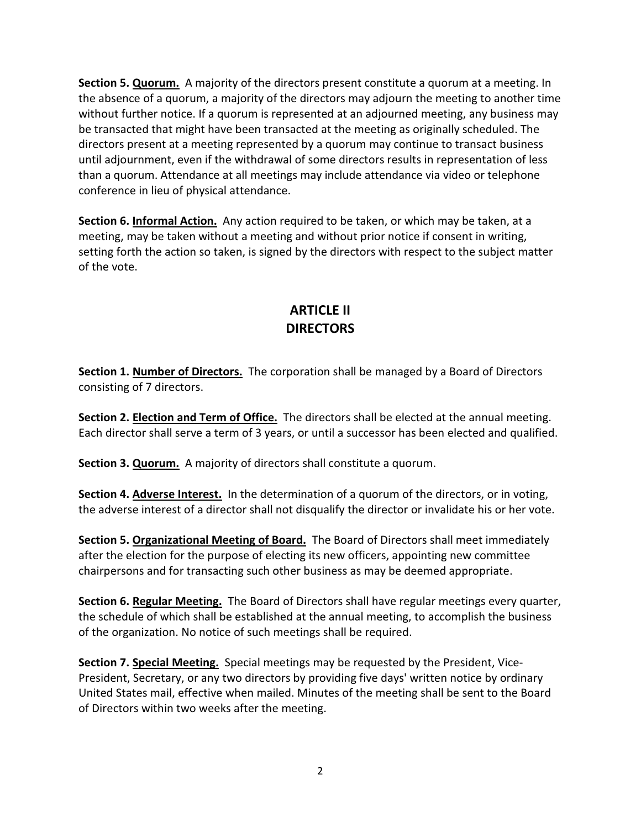Section 5. Quorum. A majority of the directors present constitute a quorum at a meeting. In the absence of a quorum, a majority of the directors may adjourn the meeting to another time without further notice. If a quorum is represented at an adjourned meeting, any business may be transacted that might have been transacted at the meeting as originally scheduled. The directors present at a meeting represented by a quorum may continue to transact business until adjournment, even if the withdrawal of some directors results in representation of less than a quorum. Attendance at all meetings may include attendance via video or telephone conference in lieu of physical attendance.

Section 6. Informal Action. Any action required to be taken, or which may be taken, at a meeting, may be taken without a meeting and without prior notice if consent in writing, setting forth the action so taken, is signed by the directors with respect to the subject matter of the vote.

# ARTICLE II **DIRECTORS**

Section 1. Number of Directors. The corporation shall be managed by a Board of Directors consisting of 7 directors.

Section 2. **Election and Term of Office.** The directors shall be elected at the annual meeting. Each director shall serve a term of 3 years, or until a successor has been elected and qualified.

Section 3. Quorum. A majority of directors shall constitute a quorum.

Section 4. Adverse Interest. In the determination of a quorum of the directors, or in voting, the adverse interest of a director shall not disqualify the director or invalidate his or her vote.

Section 5. Organizational Meeting of Board. The Board of Directors shall meet immediately after the election for the purpose of electing its new officers, appointing new committee chairpersons and for transacting such other business as may be deemed appropriate.

Section 6. Regular Meeting. The Board of Directors shall have regular meetings every quarter, the schedule of which shall be established at the annual meeting, to accomplish the business of the organization. No notice of such meetings shall be required.

Section 7. Special Meeting. Special meetings may be requested by the President, Vice-President, Secretary, or any two directors by providing five days' written notice by ordinary United States mail, effective when mailed. Minutes of the meeting shall be sent to the Board of Directors within two weeks after the meeting.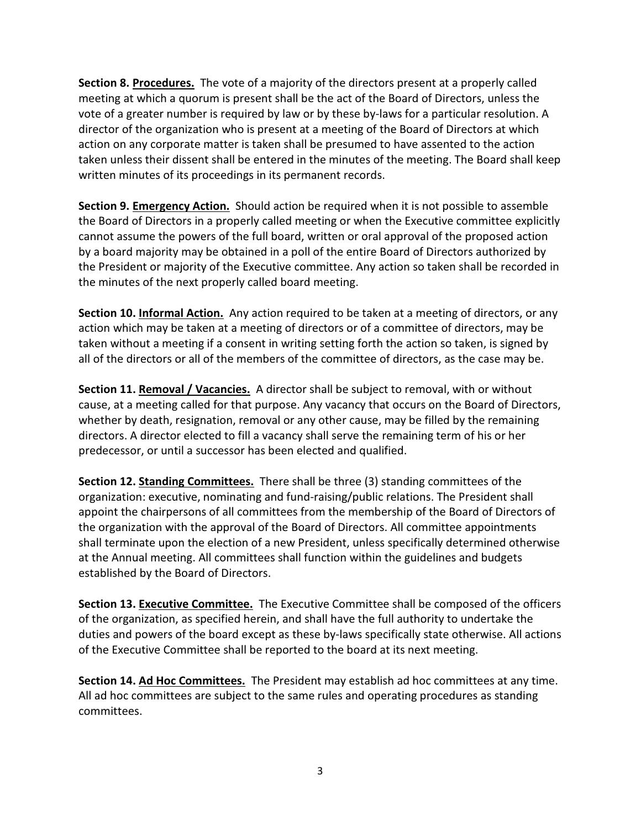Section 8. Procedures. The vote of a majority of the directors present at a properly called meeting at which a quorum is present shall be the act of the Board of Directors, unless the vote of a greater number is required by law or by these by-laws for a particular resolution. A director of the organization who is present at a meeting of the Board of Directors at which action on any corporate matter is taken shall be presumed to have assented to the action taken unless their dissent shall be entered in the minutes of the meeting. The Board shall keep written minutes of its proceedings in its permanent records.

Section 9. Emergency Action. Should action be required when it is not possible to assemble the Board of Directors in a properly called meeting or when the Executive committee explicitly cannot assume the powers of the full board, written or oral approval of the proposed action by a board majority may be obtained in a poll of the entire Board of Directors authorized by the President or majority of the Executive committee. Any action so taken shall be recorded in the minutes of the next properly called board meeting.

Section 10. Informal Action. Any action required to be taken at a meeting of directors, or any action which may be taken at a meeting of directors or of a committee of directors, may be taken without a meeting if a consent in writing setting forth the action so taken, is signed by all of the directors or all of the members of the committee of directors, as the case may be.

Section 11. Removal / Vacancies. A director shall be subject to removal, with or without cause, at a meeting called for that purpose. Any vacancy that occurs on the Board of Directors, whether by death, resignation, removal or any other cause, may be filled by the remaining directors. A director elected to fill a vacancy shall serve the remaining term of his or her predecessor, or until a successor has been elected and qualified.

Section 12. Standing Committees. There shall be three (3) standing committees of the organization: executive, nominating and fund-raising/public relations. The President shall appoint the chairpersons of all committees from the membership of the Board of Directors of the organization with the approval of the Board of Directors. All committee appointments shall terminate upon the election of a new President, unless specifically determined otherwise at the Annual meeting. All committees shall function within the guidelines and budgets established by the Board of Directors.

Section 13. Executive Committee. The Executive Committee shall be composed of the officers of the organization, as specified herein, and shall have the full authority to undertake the duties and powers of the board except as these by-laws specifically state otherwise. All actions of the Executive Committee shall be reported to the board at its next meeting.

Section 14. Ad Hoc Committees. The President may establish ad hoc committees at any time. All ad hoc committees are subject to the same rules and operating procedures as standing committees.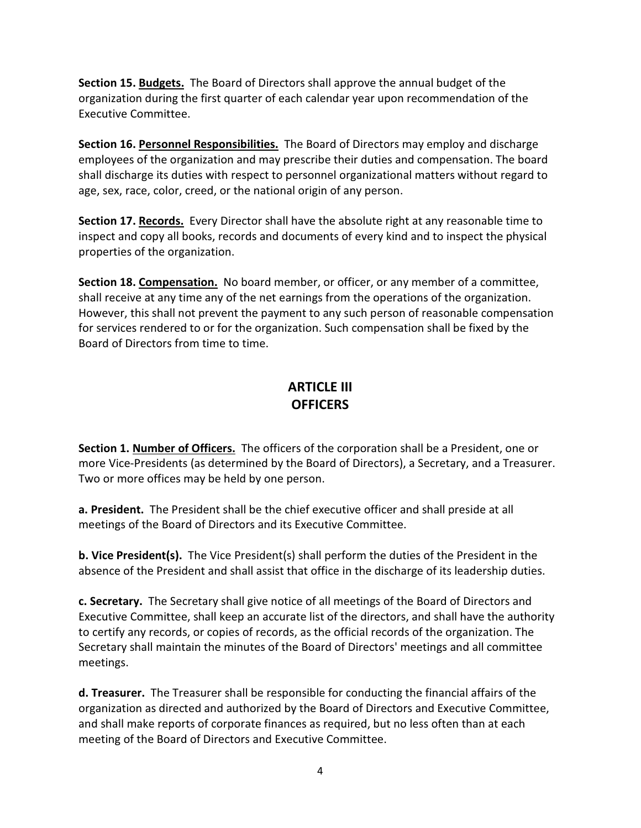Section 15. Budgets. The Board of Directors shall approve the annual budget of the organization during the first quarter of each calendar year upon recommendation of the Executive Committee.

Section 16. Personnel Responsibilities. The Board of Directors may employ and discharge employees of the organization and may prescribe their duties and compensation. The board shall discharge its duties with respect to personnel organizational matters without regard to age, sex, race, color, creed, or the national origin of any person.

Section 17. Records. Every Director shall have the absolute right at any reasonable time to inspect and copy all books, records and documents of every kind and to inspect the physical properties of the organization.

Section 18. Compensation. No board member, or officer, or any member of a committee, shall receive at any time any of the net earnings from the operations of the organization. However, this shall not prevent the payment to any such person of reasonable compensation for services rendered to or for the organization. Such compensation shall be fixed by the Board of Directors from time to time.

#### ARTICLE III **OFFICERS**

Section 1. Number of Officers. The officers of the corporation shall be a President, one or more Vice-Presidents (as determined by the Board of Directors), a Secretary, and a Treasurer. Two or more offices may be held by one person.

a. President. The President shall be the chief executive officer and shall preside at all meetings of the Board of Directors and its Executive Committee.

b. Vice President(s). The Vice President(s) shall perform the duties of the President in the absence of the President and shall assist that office in the discharge of its leadership duties.

c. Secretary. The Secretary shall give notice of all meetings of the Board of Directors and Executive Committee, shall keep an accurate list of the directors, and shall have the authority to certify any records, or copies of records, as the official records of the organization. The Secretary shall maintain the minutes of the Board of Directors' meetings and all committee meetings.

d. Treasurer. The Treasurer shall be responsible for conducting the financial affairs of the organization as directed and authorized by the Board of Directors and Executive Committee, and shall make reports of corporate finances as required, but no less often than at each meeting of the Board of Directors and Executive Committee.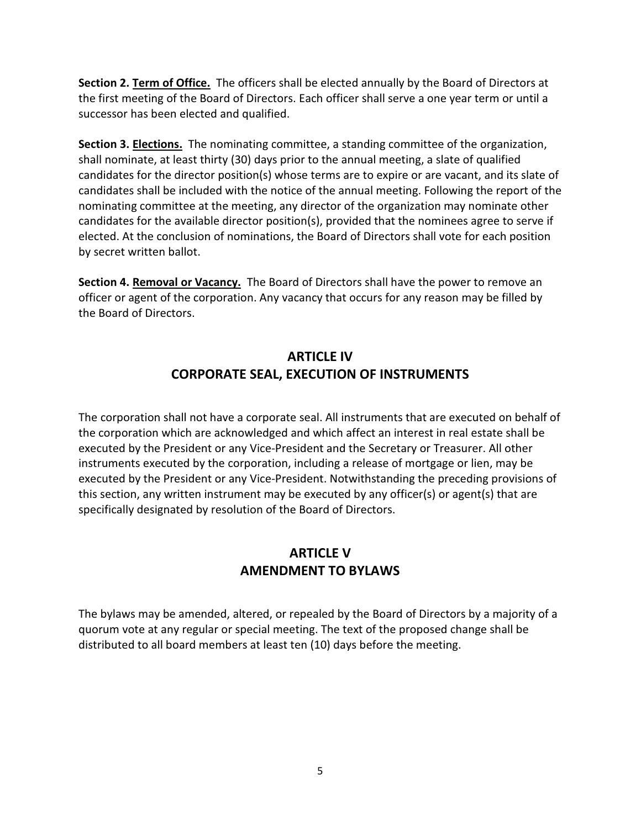Section 2. Term of Office. The officers shall be elected annually by the Board of Directors at the first meeting of the Board of Directors. Each officer shall serve a one year term or until a successor has been elected and qualified.

Section 3. Elections. The nominating committee, a standing committee of the organization, shall nominate, at least thirty (30) days prior to the annual meeting, a slate of qualified candidates for the director position(s) whose terms are to expire or are vacant, and its slate of candidates shall be included with the notice of the annual meeting. Following the report of the nominating committee at the meeting, any director of the organization may nominate other candidates for the available director position(s), provided that the nominees agree to serve if elected. At the conclusion of nominations, the Board of Directors shall vote for each position by secret written ballot.

Section 4. Removal or Vacancy. The Board of Directors shall have the power to remove an officer or agent of the corporation. Any vacancy that occurs for any reason may be filled by the Board of Directors.

## ARTICLE IV CORPORATE SEAL, EXECUTION OF INSTRUMENTS

The corporation shall not have a corporate seal. All instruments that are executed on behalf of the corporation which are acknowledged and which affect an interest in real estate shall be executed by the President or any Vice-President and the Secretary or Treasurer. All other instruments executed by the corporation, including a release of mortgage or lien, may be executed by the President or any Vice-President. Notwithstanding the preceding provisions of this section, any written instrument may be executed by any officer(s) or agent(s) that are specifically designated by resolution of the Board of Directors.

## ARTICLE V AMENDMENT TO BYLAWS

The bylaws may be amended, altered, or repealed by the Board of Directors by a majority of a quorum vote at any regular or special meeting. The text of the proposed change shall be distributed to all board members at least ten (10) days before the meeting.